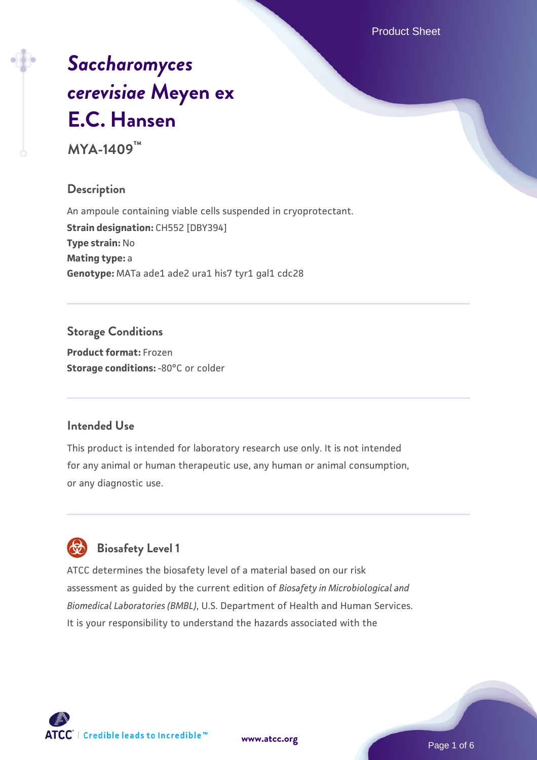Product Sheet

# *[Saccharomyces](https://www.atcc.org/products/mya-1409) [cerevisiae](https://www.atcc.org/products/mya-1409)* **[Meyen ex](https://www.atcc.org/products/mya-1409) [E.C. Hansen](https://www.atcc.org/products/mya-1409)**

**MYA-1409™**

#### **Description**

An ampoule containing viable cells suspended in cryoprotectant. **Strain designation:** CH552 [DBY394] **Type strain:** No **Mating type:** a Genotype: MATa ade1 ade2 ura1 his7 tyr1 gal1 cdc28

# **Storage Conditions**

**Product format:** Frozen **Storage conditions: -80°C or colder** 

#### **Intended Use**

This product is intended for laboratory research use only. It is not intended for any animal or human therapeutic use, any human or animal consumption, or any diagnostic use.

# **Biosafety Level 1**

ATCC determines the biosafety level of a material based on our risk assessment as guided by the current edition of *Biosafety in Microbiological and Biomedical Laboratories (BMBL)*, U.S. Department of Health and Human Services. It is your responsibility to understand the hazards associated with the

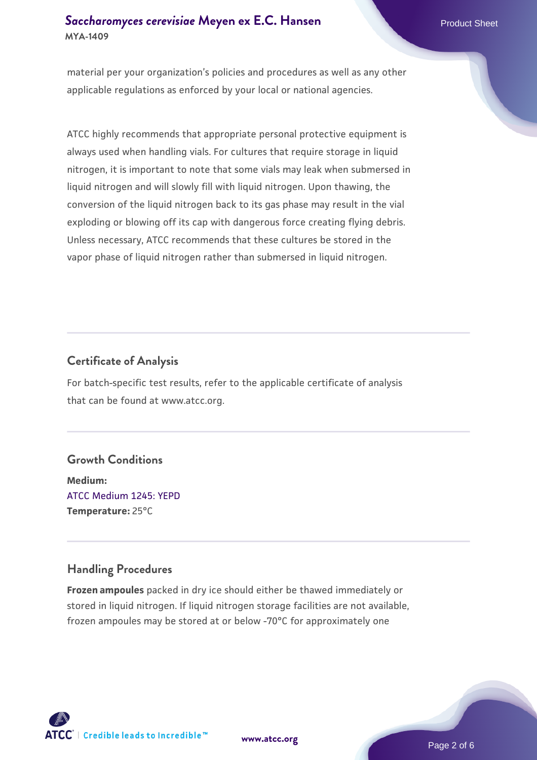## **[Saccharomyces cerevisiae](https://www.atcc.org/products/mya-1409)** [Meyen ex E.C. Hansen](https://www.atcc.org/products/mya-1409) **MYA-1409**

material per your organization's policies and procedures as well as any other applicable regulations as enforced by your local or national agencies.

ATCC highly recommends that appropriate personal protective equipment is always used when handling vials. For cultures that require storage in liquid nitrogen, it is important to note that some vials may leak when submersed in liquid nitrogen and will slowly fill with liquid nitrogen. Upon thawing, the conversion of the liquid nitrogen back to its gas phase may result in the vial exploding or blowing off its cap with dangerous force creating flying debris. Unless necessary, ATCC recommends that these cultures be stored in the vapor phase of liquid nitrogen rather than submersed in liquid nitrogen.

# **Certificate of Analysis**

For batch-specific test results, refer to the applicable certificate of analysis that can be found at www.atcc.org.

#### **Growth Conditions**

**Medium:**  [ATCC Medium 1245: YEPD](https://www.atcc.org/-/media/product-assets/documents/microbial-media-formulations/1/2/4/5/atcc-medium-1245.pdf?rev=705ca55d1b6f490a808a965d5c072196) **Temperature:** 25°C

# **Handling Procedures**

**Frozen ampoules** packed in dry ice should either be thawed immediately or stored in liquid nitrogen. If liquid nitrogen storage facilities are not available, frozen ampoules may be stored at or below -70°C for approximately one





Page 2 of 6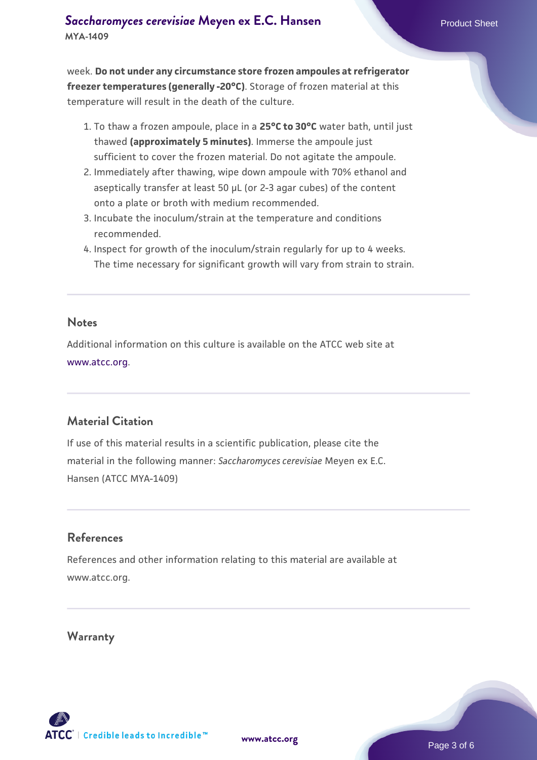week. **Do not under any circumstance store frozen ampoules at refrigerator freezer temperatures (generally -20°C)**. Storage of frozen material at this temperature will result in the death of the culture.

- 1. To thaw a frozen ampoule, place in a **25°C to 30°C** water bath, until just thawed **(approximately 5 minutes)**. Immerse the ampoule just sufficient to cover the frozen material. Do not agitate the ampoule.
- 2. Immediately after thawing, wipe down ampoule with 70% ethanol and aseptically transfer at least 50 µL (or 2-3 agar cubes) of the content onto a plate or broth with medium recommended.
- Incubate the inoculum/strain at the temperature and conditions 3. recommended.
- 4. Inspect for growth of the inoculum/strain regularly for up to 4 weeks. The time necessary for significant growth will vary from strain to strain.

#### **Notes**

Additional information on this culture is available on the ATCC web site at [www.atcc.org.](http://www.atcc.org/)

## **Material Citation**

If use of this material results in a scientific publication, please cite the material in the following manner: *Saccharomyces cerevisiae* Meyen ex E.C. Hansen (ATCC MYA-1409)

#### **References**

References and other information relating to this material are available at www.atcc.org.

#### **Warranty**

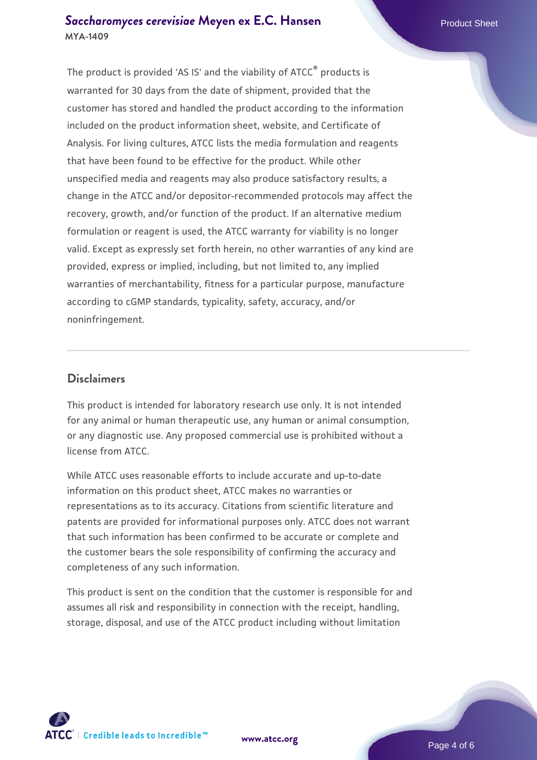### **[Saccharomyces cerevisiae](https://www.atcc.org/products/mya-1409)** [Meyen ex E.C. Hansen](https://www.atcc.org/products/mya-1409) **MYA-1409**

The product is provided 'AS IS' and the viability of ATCC® products is warranted for 30 days from the date of shipment, provided that the customer has stored and handled the product according to the information included on the product information sheet, website, and Certificate of Analysis. For living cultures, ATCC lists the media formulation and reagents that have been found to be effective for the product. While other unspecified media and reagents may also produce satisfactory results, a change in the ATCC and/or depositor-recommended protocols may affect the recovery, growth, and/or function of the product. If an alternative medium formulation or reagent is used, the ATCC warranty for viability is no longer valid. Except as expressly set forth herein, no other warranties of any kind are provided, express or implied, including, but not limited to, any implied warranties of merchantability, fitness for a particular purpose, manufacture according to cGMP standards, typicality, safety, accuracy, and/or noninfringement.

#### **Disclaimers**

This product is intended for laboratory research use only. It is not intended for any animal or human therapeutic use, any human or animal consumption, or any diagnostic use. Any proposed commercial use is prohibited without a license from ATCC.

While ATCC uses reasonable efforts to include accurate and up-to-date information on this product sheet, ATCC makes no warranties or representations as to its accuracy. Citations from scientific literature and patents are provided for informational purposes only. ATCC does not warrant that such information has been confirmed to be accurate or complete and the customer bears the sole responsibility of confirming the accuracy and completeness of any such information.

This product is sent on the condition that the customer is responsible for and assumes all risk and responsibility in connection with the receipt, handling, storage, disposal, and use of the ATCC product including without limitation



**[www.atcc.org](http://www.atcc.org)**

Page 4 of 6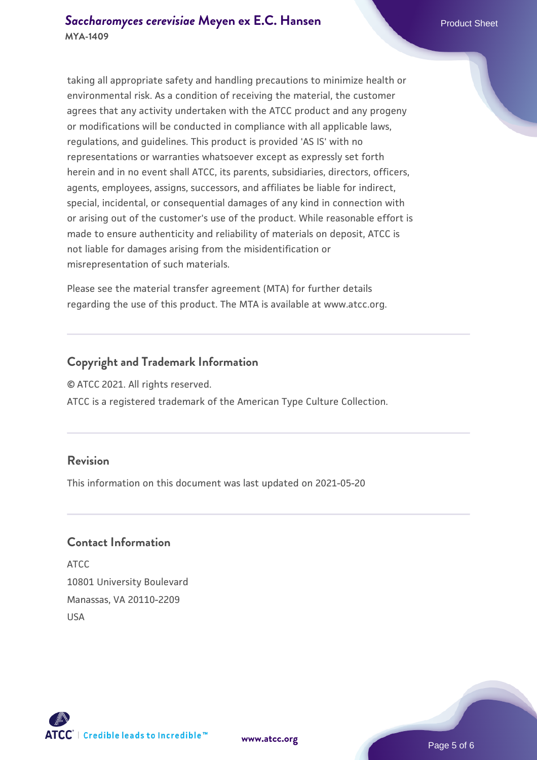taking all appropriate safety and handling precautions to minimize health or environmental risk. As a condition of receiving the material, the customer agrees that any activity undertaken with the ATCC product and any progeny or modifications will be conducted in compliance with all applicable laws, regulations, and guidelines. This product is provided 'AS IS' with no representations or warranties whatsoever except as expressly set forth herein and in no event shall ATCC, its parents, subsidiaries, directors, officers, agents, employees, assigns, successors, and affiliates be liable for indirect, special, incidental, or consequential damages of any kind in connection with or arising out of the customer's use of the product. While reasonable effort is made to ensure authenticity and reliability of materials on deposit, ATCC is not liable for damages arising from the misidentification or misrepresentation of such materials.

Please see the material transfer agreement (MTA) for further details regarding the use of this product. The MTA is available at www.atcc.org.

#### **Copyright and Trademark Information**

© ATCC 2021. All rights reserved.

ATCC is a registered trademark of the American Type Culture Collection.

#### **Revision**

This information on this document was last updated on 2021-05-20

#### **Contact Information**

ATCC 10801 University Boulevard Manassas, VA 20110-2209 USA